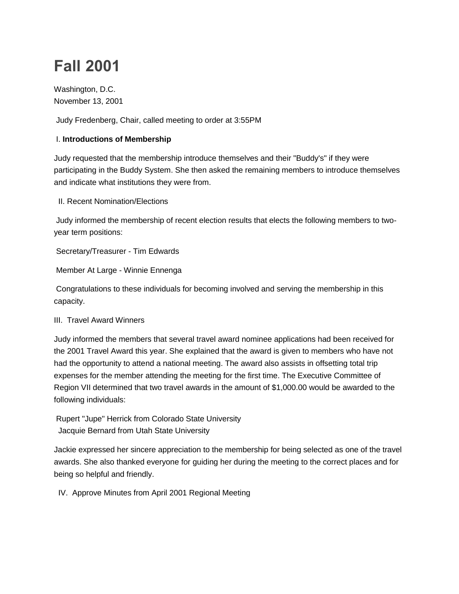# **Fall 2001**

Washington, D.C. November 13, 2001

Judy Fredenberg, Chair, called meeting to order at 3:55PM

## I. **Introductions of Membership**

Judy requested that the membership introduce themselves and their "Buddy's" if they were participating in the Buddy System. She then asked the remaining members to introduce themselves and indicate what institutions they were from.

II. Recent Nomination/Elections

Judy informed the membership of recent election results that elects the following members to twoyear term positions:

Secretary/Treasurer - Tim Edwards

Member At Large - Winnie Ennenga

Congratulations to these individuals for becoming involved and serving the membership in this capacity.

III. Travel Award Winners

Judy informed the members that several travel award nominee applications had been received for the 2001 Travel Award this year. She explained that the award is given to members who have not had the opportunity to attend a national meeting. The award also assists in offsetting total trip expenses for the member attending the meeting for the first time. The Executive Committee of Region VII determined that two travel awards in the amount of \$1,000.00 would be awarded to the following individuals:

Rupert "Jupe" Herrick from Colorado State University Jacquie Bernard from Utah State University

Jackie expressed her sincere appreciation to the membership for being selected as one of the travel awards. She also thanked everyone for guiding her during the meeting to the correct places and for being so helpful and friendly.

IV. Approve Minutes from April 2001 Regional Meeting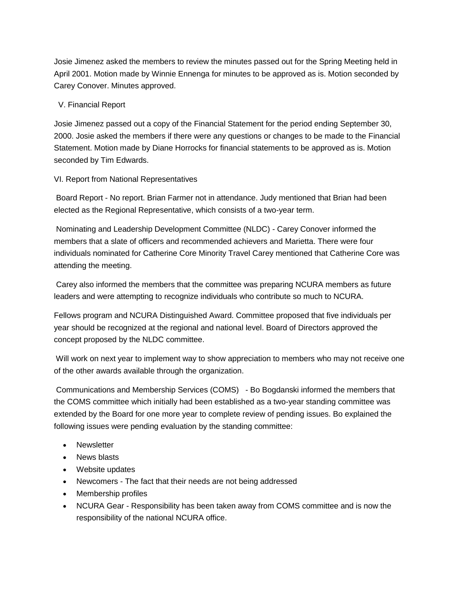Josie Jimenez asked the members to review the minutes passed out for the Spring Meeting held in April 2001. Motion made by Winnie Ennenga for minutes to be approved as is. Motion seconded by Carey Conover. Minutes approved.

#### V. Financial Report

Josie Jimenez passed out a copy of the Financial Statement for the period ending September 30, 2000. Josie asked the members if there were any questions or changes to be made to the Financial Statement. Motion made by Diane Horrocks for financial statements to be approved as is. Motion seconded by Tim Edwards.

#### VI. Report from National Representatives

Board Report - No report. Brian Farmer not in attendance. Judy mentioned that Brian had been elected as the Regional Representative, which consists of a two-year term.

Nominating and Leadership Development Committee (NLDC) - Carey Conover informed the members that a slate of officers and recommended achievers and Marietta. There were four individuals nominated for Catherine Core Minority Travel Carey mentioned that Catherine Core was attending the meeting.

Carey also informed the members that the committee was preparing NCURA members as future leaders and were attempting to recognize individuals who contribute so much to NCURA.

Fellows program and NCURA Distinguished Award. Committee proposed that five individuals per year should be recognized at the regional and national level. Board of Directors approved the concept proposed by the NLDC committee.

Will work on next year to implement way to show appreciation to members who may not receive one of the other awards available through the organization.

Communications and Membership Services (COMS) - Bo Bogdanski informed the members that the COMS committee which initially had been established as a two-year standing committee was extended by the Board for one more year to complete review of pending issues. Bo explained the following issues were pending evaluation by the standing committee:

- **Newsletter**
- News blasts
- Website updates
- Newcomers The fact that their needs are not being addressed
- Membership profiles
- NCURA Gear Responsibility has been taken away from COMS committee and is now the responsibility of the national NCURA office.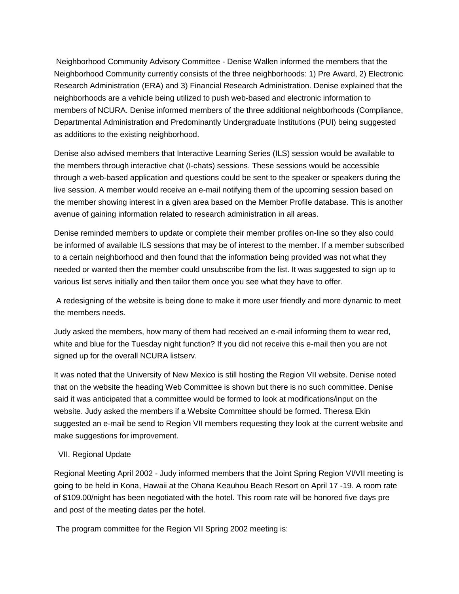Neighborhood Community Advisory Committee - Denise Wallen informed the members that the Neighborhood Community currently consists of the three neighborhoods: 1) Pre Award, 2) Electronic Research Administration (ERA) and 3) Financial Research Administration. Denise explained that the neighborhoods are a vehicle being utilized to push web-based and electronic information to members of NCURA. Denise informed members of the three additional neighborhoods (Compliance, Departmental Administration and Predominantly Undergraduate Institutions (PUI) being suggested as additions to the existing neighborhood.

Denise also advised members that Interactive Learning Series (ILS) session would be available to the members through interactive chat (I-chats) sessions. These sessions would be accessible through a web-based application and questions could be sent to the speaker or speakers during the live session. A member would receive an e-mail notifying them of the upcoming session based on the member showing interest in a given area based on the Member Profile database. This is another avenue of gaining information related to research administration in all areas.

Denise reminded members to update or complete their member profiles on-line so they also could be informed of available ILS sessions that may be of interest to the member. If a member subscribed to a certain neighborhood and then found that the information being provided was not what they needed or wanted then the member could unsubscribe from the list. It was suggested to sign up to various list servs initially and then tailor them once you see what they have to offer.

A redesigning of the website is being done to make it more user friendly and more dynamic to meet the members needs.

Judy asked the members, how many of them had received an e-mail informing them to wear red, white and blue for the Tuesday night function? If you did not receive this e-mail then you are not signed up for the overall NCURA listserv.

It was noted that the University of New Mexico is still hosting the Region VII website. Denise noted that on the website the heading Web Committee is shown but there is no such committee. Denise said it was anticipated that a committee would be formed to look at modifications/input on the website. Judy asked the members if a Website Committee should be formed. Theresa Ekin suggested an e-mail be send to Region VII members requesting they look at the current website and make suggestions for improvement.

### VII. Regional Update

Regional Meeting April 2002 - Judy informed members that the Joint Spring Region VI/VII meeting is going to be held in Kona, Hawaii at the Ohana Keauhou Beach Resort on April 17 -19. A room rate of \$109.00/night has been negotiated with the hotel. This room rate will be honored five days pre and post of the meeting dates per the hotel.

The program committee for the Region VII Spring 2002 meeting is: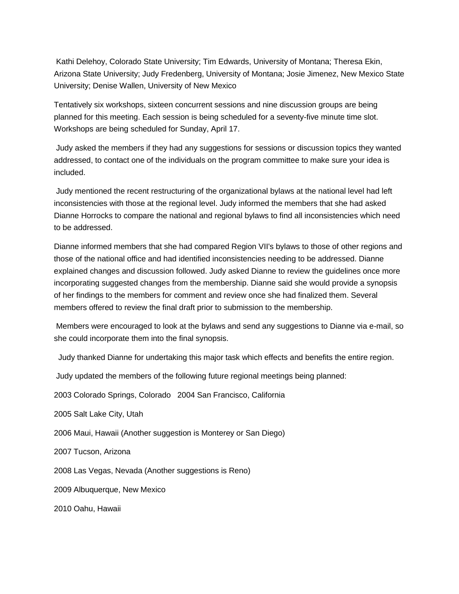Kathi Delehoy, Colorado State University; Tim Edwards, University of Montana; Theresa Ekin, Arizona State University; Judy Fredenberg, University of Montana; Josie Jimenez, New Mexico State University; Denise Wallen, University of New Mexico

Tentatively six workshops, sixteen concurrent sessions and nine discussion groups are being planned for this meeting. Each session is being scheduled for a seventy-five minute time slot. Workshops are being scheduled for Sunday, April 17.

Judy asked the members if they had any suggestions for sessions or discussion topics they wanted addressed, to contact one of the individuals on the program committee to make sure your idea is included.

Judy mentioned the recent restructuring of the organizational bylaws at the national level had left inconsistencies with those at the regional level. Judy informed the members that she had asked Dianne Horrocks to compare the national and regional bylaws to find all inconsistencies which need to be addressed.

Dianne informed members that she had compared Region VII's bylaws to those of other regions and those of the national office and had identified inconsistencies needing to be addressed. Dianne explained changes and discussion followed. Judy asked Dianne to review the guidelines once more incorporating suggested changes from the membership. Dianne said she would provide a synopsis of her findings to the members for comment and review once she had finalized them. Several members offered to review the final draft prior to submission to the membership.

Members were encouraged to look at the bylaws and send any suggestions to Dianne via e-mail, so she could incorporate them into the final synopsis.

Judy thanked Dianne for undertaking this major task which effects and benefits the entire region.

Judy updated the members of the following future regional meetings being planned:

2003 Colorado Springs, Colorado 2004 San Francisco, California

2005 Salt Lake City, Utah

2006 Maui, Hawaii (Another suggestion is Monterey or San Diego)

2007 Tucson, Arizona

2008 Las Vegas, Nevada (Another suggestions is Reno)

2009 Albuquerque, New Mexico

2010 Oahu, Hawaii